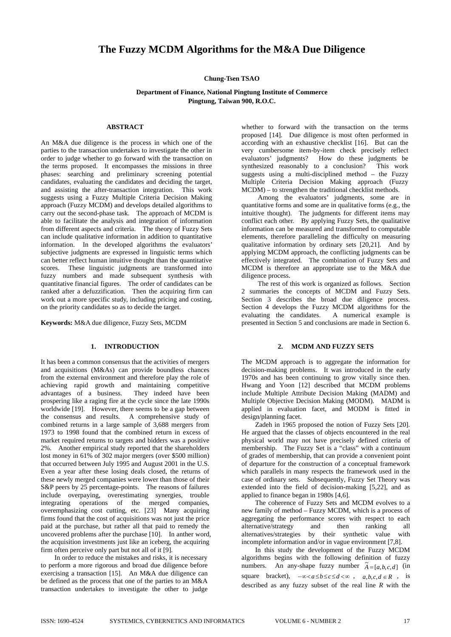# **The Fuzzy MCDM Algorithms for the M&A Due Diligence**

## **Chung-Tsen TSAO**

# **Department of Finance, National Pingtung Institute of Commerce Pingtung, Taiwan 900, R.O.C.**

## **ABSTRACT**

An M&A due diligence is the process in which one of the parties to the transaction undertakes to investigate the other in order to judge whether to go forward with the transaction on the terms proposed. It encompasses the missions in three phases: searching and preliminary screening potential candidates, evaluating the candidates and deciding the target, and assisting the after-transaction integration. This work suggests using a Fuzzy Multiple Criteria Decision Making approach (Fuzzy MCDM) and develops detailed algorithms to carry out the second-phase task. The approach of MCDM is able to facilitate the analysis and integration of information from different aspects and criteria. The theory of Fuzzy Sets can include qualitative information in addition to quantitative information. In the developed algorithms the evaluators' subjective judgments are expressed in linguistic terms which can better reflect human intuitive thought than the quantitative scores. These linguistic judgments are transformed into fuzzy numbers and made subsequent synthesis with quantitative financial figures. The order of candidates can be ranked after a defuzzification. Then the acquiring firm can work out a more specific study, including pricing and costing, on the priority candidates so as to decide the target.

**Keywords:** M&A due diligence, Fuzzy Sets, MCDM

# **1. INTRODUCTION**

It has been a common consensus that the activities of mergers and acquisitions (M&As) can provide boundless chances from the external environment and therefore play the role of achieving rapid growth and maintaining competitive advantages of a business. They indeed have been  $advantagees$  of a business. prospering like a raging fire at the cycle since the late 1990s worldwide [19]. However, there seems to be a gap between the consensus and results. A comprehensive study of combined returns in a large sample of 3,688 mergers from 1973 to 1998 found that the combined return in excess of market required returns to targets and bidders was a positive 2%. Another empirical study reported that the shareholders lost money in 61% of 302 major mergers (over \$500 million) that occurred between July 1995 and August 2001 in the U.S. Even a year after these losing deals closed, the returns of these newly merged companies were lower than those of their S&P peers by 25 percentage-points. The reasons of failures include overpaying, overestimating synergies, trouble integrating operations of the merged companies, overemphasizing cost cutting, etc. [23] Many acquiring firms found that the cost of acquisitions was not just the price paid at the purchase, but rather all that paid to remedy the uncovered problems after the purchase [10]. In anther word, the acquisition investments just like an iceberg, the acquiring firm often perceive only part but not all of it [9].

In order to reduce the mistakes and risks, it is necessary to perform a more rigorous and broad due diligence before exercising a transaction [15]. An M&A due diligence can be defined as the process that one of the parties to an M&A transaction undertakes to investigate the other to judge

whether to forward with the transaction on the terms proposed [14]. Due diligence is most often performed in according with an exhaustive checklist [16]. But can the very cumbersome item-by-item check precisely reflect evaluators' judgments? How do these judgments be synthesized reasonably to a conclusion? This work suggests using a multi-disciplined method – the Fuzzy Multiple Criteria Decision Making approach (Fuzzy  $MCDM$  – to strengthen the traditional checklist methods.

Among the evaluators' judgments, some are in quantitative forms and some are in qualitative forms (e.g., the intuitive thought). The judgments for different items may conflict each other. By applying Fuzzy Sets, the qualitative information can be measured and transformed to computable elements, therefore paralleling the difficulty on measuring qualitative information by ordinary sets [20,21]. And by applying MCDM approach, the conflicting judgments can be effectively integrated. The combination of Fuzzy Sets and MCDM is therefore an appropriate use to the M&A due diligence process.

The rest of this work is organized as follows. Section 2 summaries the concepts of MCDM and Fuzzy Sets. Section 3 describes the broad due diligence process. Section 4 develops the Fuzzy MCDM algorithms for the evaluating the candidates. A numerical example is presented in Section 5 and conclusions are made in Section 6.

# **2. MCDM AND FUZZY SETS**

The MCDM approach is to aggregate the information for decision-making problems. It was introduced in the early 1970s and has been continuing to grow vitally since then. Hwang and Yoon [12] described that MCDM problems include Multiple Attribute Decision Making (MADM) and Multiple Objective Decision Making (MODM). MADM is applied in evaluation facet, and MODM is fitted in design/planning facet.

Zadeh in 1965 proposed the notion of Fuzzy Sets [20]. He argued that the classes of objects encountered in the real physical world may not have precisely defined criteria of membership. The Fuzzy Set is a "class" with a continuum of grades of membership, that can provide a convenient point of departure for the construction of a conceptual framework which parallels in many respects the framework used in the case of ordinary sets. Subsequently, Fuzzy Set Theory was extended into the field of decision-making [5,22], and as applied to finance began in 1980s [4,6].

The coherence of Fuzzy Sets and MCDM evolves to a new family of method – Fuzzy MCDM, which is a process of aggregating the performance scores with respect to each alternative/strategy and then ranking all alternatives/strategies by their synthetic value with incomplete information and/or in vague environment [7,8].

In this study the development of the Fuzzy MCDM algorithms begins with the following definition of fuzzy numbers. An any-shape fuzzy number  $\tilde{A} = [a, b, c, d]$  (in square bracket),  $-\infty < a \le b \le c \le d < \infty$ ,  $a, b, c, d \in R$ , is described as any fuzzy subset of the real line *R* with the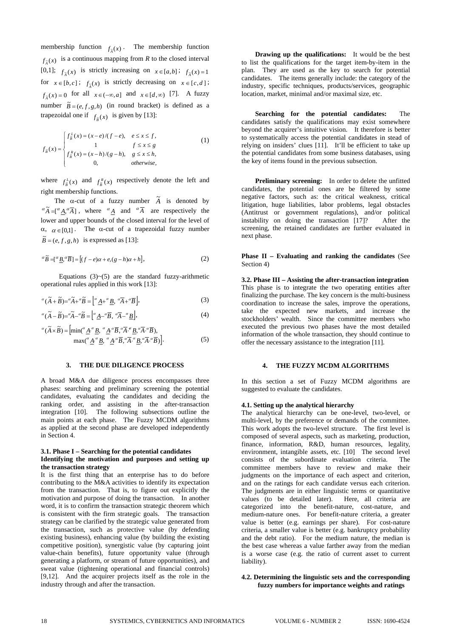membership function  $f_{\lambda}(x)$ . The membership function  $f_{\tilde{A}}(x)$  is a continuous mapping from *R* to the closed interval [0,1];  $f_{\tilde{A}}(x)$  is strictly increasing on  $x \in [a,b]$ ;  $f_{\tilde{A}}(x) = 1$ for  $x \in [b, c]$ ;  $f_{\tilde{A}}(x)$  is strictly decreasing on  $x \in [c, d]$ ;  $f_{\tilde{A}}(x) = 0$  for all  $x \in (-\infty, a]$  and  $x \in [d, \infty)$  [7]. A fuzzy number  $\tilde{B} = (e, f, g, h)$  (in round bracket) is defined as a trapezoidal one if  $f_{\tilde{B}}(x)$  is given by [13]:

$$
f_{\tilde{B}}(x) = \begin{cases} f_{\tilde{B}}^L(x) = (x - e)/(f - e), & e \le x \le f, \\ 1 & f \le x \le g \\ f_{\tilde{B}}^R(x) = (x - h)/(g - h), & g \le x \le h, \\ 0, & \text{otherwise,} \end{cases}
$$
(1)

where  $f_{\tilde{B}}^L(x)$  and  $f_{\tilde{B}}^R(x)$  respectively denote the left and right membership functions.

The  $\alpha$ -cut of a fuzzy number  $\tilde{A}$  is denoted by  ${}^{\alpha}\tilde{A} = [{}^{\alpha}A, {}^{\alpha}\overline{A}]$ , where  ${}^{\alpha}A$  and  ${}^{\alpha}\overline{A}$  are respectively the lower and upper bounds of the closed interval for the level of  $\alpha$ ,  $\alpha \in [0,1]$ . The  $\alpha$ -cut of a trapezoidal fuzzy number  $\widetilde{B} = (e, f, g, h)$  is expressed as [13]:

$$
{}^{\alpha}\widetilde{B} = [{}^{\alpha}\underline{B}, {}^{\alpha}\overline{B}] = [(f - e)\alpha + e, (g - h)\alpha + h],
$$
\n(2)

Equations  $(3)~(5)$  are the standard fuzzy-arithmetic operational rules applied in this work [13]:

$$
{}^{\alpha}(\widetilde{A} + \widetilde{B}) = {}^{\alpha}\widetilde{A} + {}^{\alpha}\widetilde{B} = \left[ {}^{\alpha}\underline{A} + {}^{\alpha}\underline{B}, {}^{\alpha}\overline{A} + {}^{\alpha}\overline{B} \right],
$$
\n(3)

$$
{}^{\alpha}(\widetilde{A} - \widetilde{B}) = {}^{\alpha}\widetilde{A} - {}^{\alpha}\widetilde{B} = \left[ {}^{\alpha} \underline{A} - {}^{\alpha}\overline{B}, {}^{\alpha}\overline{A} - {}^{\alpha}\underline{B} \right],
$$
\n(4)

$$
{}^{\alpha}(\widetilde{A} \times \widetilde{B}) = \left[ \min({}^{\alpha} \underline{A}^{,\alpha} \underline{B}, \, {}^{\alpha} \underline{A}^{,\alpha} \overline{B}, {}^{\alpha} \overline{A}^{,\alpha} \underline{B}, {}^{\alpha} \overline{A}^{,\alpha} \overline{B}), \, \\ \max({}^{\alpha} \underline{A}^{,\alpha} \underline{B}, \, {}^{\alpha} \underline{A}^{,\alpha} \overline{B}, {}^{\alpha} \overline{A}^{,\alpha} \underline{B}, {}^{\alpha} \overline{A}^{,\alpha} \overline{B}) \right]. \tag{5}
$$

#### **3. THE DUE DILIGENCE PROCESS**

A broad M&A due diligence process encompasses three phases: searching and preliminary screening the potential candidates, evaluating the candidates and deciding the ranking order, and assisting in the after-transaction integration [10]. The following subsections outline the main points at each phase. The Fuzzy MCDM algorithms as applied at the second phase are developed independently in Section 4.

#### **3.1. Phase I – Searching for the potential candidates Identifying the motivation and purposes and setting up the transaction strategy**

It is the first thing that an enterprise has to do before contributing to the M&A activities to identify its expectation from the transaction. That is, to figure out explicitly the motivation and purpose of doing the transaction. In another word, it is to confirm the transaction strategic theorem which is consistent with the firm strategic goals. The transaction strategy can be clarified by the strategic value generated from the transaction, such as protective value (by defending existing business), enhancing value (by building the existing competitive position), synergistic value (by capturing joint value-chain benefits), future opportunity value (through generating a platform, or stream of future opportunities), and sweat value (tightening operational and financial controls) [9,12]. And the acquirer projects itself as the role in the industry through and after the transaction.

**Drawing up the qualifications:** It would be the best to list the qualifications for the target item-by-item in the plan. They are used as the key to search for potential candidates. The items generally include: the category of the industry, specific techniques, products/services, geographic location, market, minimal and/or maximal size, etc.

**Searching for the potential candidates:** The candidates satisfy the qualifications may exist somewhere beyond the acquirer's intuitive vision. It therefore is better to systematically access the potential candidates in stead of relying on insiders' clues [11]. It'll be efficient to take up the potential candidates from some business databases, using the key of items found in the previous subsection.

**Preliminary screening:** In order to delete the unfitted candidates, the potential ones are be filtered by some negative factors, such as: the critical weakness, critical litigation, huge liabilities, labor problems, legal obstacles (Antitrust or government regulations), and/or political instability on doing the transaction [17]? After the screening, the retained candidates are further evaluated in next phase.

#### **Phase II – Evaluating and ranking the candidates** (See Section 4)

**3.2. Phase III – Assisting the after-transaction integration** This phase is to integrate the two operating entities after finalizing the purchase. The key concern is the multi-business coordination to increase the sales, improve the operations, take the expected new markets, and increase the stockholders' wealth. Since the committee members who executed the previous two phases have the most detailed information of the whole transaction, they should continue to offer the necessary assistance to the integration [11].

## **4. THE FUZZY MCDM ALGORITHMS**

In this section a set of Fuzzy MCDM algorithms are suggested to evaluate the candidates.

#### **4.1. Setting up the analytical hierarchy**

The analytical hierarchy can be one-level, two-level, or multi-level, by the preference or demands of the committee. This work adopts the two-level structure. The first level is composed of several aspects, such as marketing, production, finance, information, R&D, human resources, legality, environment, intangible assets, etc. [10] The second level consists of the subordinate evaluation criteria. The committee members have to review and make their judgments on the importance of each aspect and criterion, and on the ratings for each candidate versus each criterion. The judgments are in either linguistic terms or quantitative values (to be detailed later). Here, all criteria are categorized into the benefit-nature, cost-nature, and medium-nature ones. For benefit-nature criteria, a greater value is better (e.g. earnings per share). For cost-nature criteria, a smaller value is better (e.g. bankruptcy probability and the debt ratio). For the medium nature, the median is the best case whereas a value farther away from the median is a worse case (e.g. the ratio of current asset to current liability).

## **4.2. Determining the linguistic sets and the corresponding fuzzy numbers for importance weights and ratings**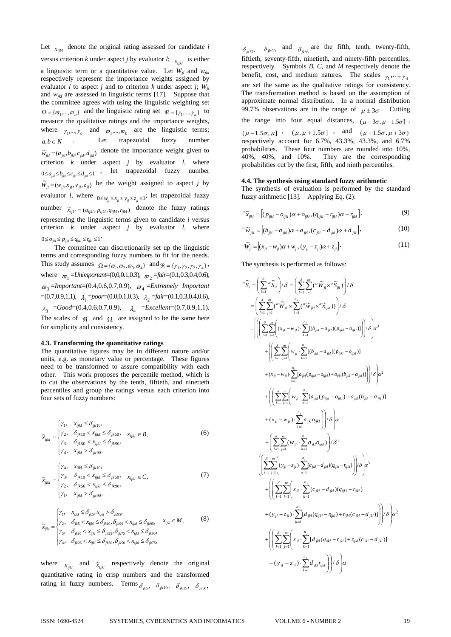Let  $\chi_{ijkl}$  denote the original rating assessed for candidate *i* versus criterion *k* under aspect *j* by evaluator *l*;  $x_{ijkl}$  is either a linguistic term or a quantitative value. Let  $W_{jl}$  and  $W_{jkl}$ respectively represent the importance weights assigned by evaluator *l* to aspect *j* and to criterion *k* under aspect *j*;  $W_{il}$ and *wjkl* are assessed in linguistic terms [17]. Suppose that the committee agrees with using the linguistic weighting set  ${\Omega} = {\varpi_1,...,\varpi_h}$  and the linguistic rating set  ${\Re} = {\gamma_1,...,\gamma_h}$  to measure the qualitative ratings and the importance weights, where  $\gamma_1, ..., \gamma_a$  and  $\varpi_1, ..., \varpi_b$  are the linguistic terms;<br>  $a, b \in N$  . Let trapezoidal fuzzy number Let trapezoidal fuzzy number  $\tilde{w}_{jkl} = (a_{jkl}, b_{jkl}, c_{jkl}, d_{jkl})$  denote the importance weight given to criterion  $k$  under aspect  $j$  by evaluator  $l$ , where  $0 \le a_{ik} \le b_{ik} \le c_{ik} \le d_{ik} \le 1$  ; let trapezoidal fuzzy number  $\widetilde{W}_{jl} = (w_{jl}, x_{jl}, y_{jl}, z_{jl})$  be the weight assigned to aspect *j* by evaluator *l*, where  $0 \le w_{ji} \le x_{ji} \le y_{ji} \le z_{ji} \le 1$ ; let trapezoidal fuzzy number  $\tilde{x}_{ijkl} = (o_{ijkl}, p_{ijkl}, q_{ijkl}, r_{ijkl})$  denote the fuzzy ratings representing the linguistic terms given to candidate *i* versus criterion *k* under aspect *j* by evaluator *l*, where  $0 \leq o_{ijkl} \leq p_{ijkl} \leq q_{ijkl} \leq r_{ijkl} \leq 1$ 

The committee can discretionarily set up the linguistic terms and corresponding fuzzy numbers to fit for the needs. This study assumes  $\Omega = {\varpi_1, \varpi_2, \varpi_3, \varpi_4}$  and  $\Re = {\gamma_1, \gamma_2, \gamma_3, \gamma_4}$ , where  $\bar{\sigma}_1 = \text{Uniformportant} = (0, 0, 0.1, 0.3), \bar{\sigma}_2 = \text{fair} = (0.1, 0.3, 0.4, 0.6),$  $\overline{\omega}_3$  =Important=(0.4,0.6,0.7,0.9),  $\overline{\omega}_4$  =Extremely Important  $=(0.7,0.9,1,1), \quad \lambda_1 = poor=(0,0,0.1,0.3), \quad \lambda_2 = fair=(0.1,0.3,0.4,0.6),$  $\lambda_3$  =*Good*=(0.4,0.6,0.7,0.9),  $\lambda_4$  =*Excellent*=(0.7,0.9,1,1). The scales of  $\Re$  and  $\Omega$  are assigned to be the same here for simplicity and consistency.

#### **4.3. Transforming the quantitative ratings**

The quantitative figures may be in different nature and/or units, e.g. as monetary value or percentage. These figures need to be transformed to assure compatibility with each other. This work proposes the percentile method, which is to cut the observations by the tenth, fiftieth, and ninetieth percentiles and group the ratings versus each criterion into four sets of fuzzy numbers:

$$
\widetilde{x}_{ijkl} = \begin{cases}\n\gamma_1, & x_{ijkl} \le \delta_{jk10}, \\
\gamma_2, & \delta_{jk10} < x_{ijkl} \le \delta_{jk50}, \\
\gamma_3, & \delta_{jk50} < x_{ijkl} \le \delta_{jk90}, \\
\gamma_4, & x_{ijkl} > \delta_{jk90},\n\end{cases} \tag{6}
$$

$$
\widetilde{x}_{ijkl} = \begin{cases}\n\gamma_4, & x_{ijkl} \leq \delta_{jk10}, \\
\gamma_3, & \delta_{jk10} < x_{ijkl} \leq \delta_{jk50}, \\
\gamma_2, & \delta_{jk50} < x_{ijkl} \leq \delta_{jk90}, \\
\gamma_1, & x_{ijkl} > \delta_{jk90},\n\end{cases} \tag{7}
$$

$$
\tilde{x}_{ijkl} = \begin{cases}\n\gamma_1, & x_{ijkl} \le \delta_{jk5}, x_{ijkl} > \delta_{jk95}, \\
\gamma_2, & \delta_{jk5} < x_{ijkl} \le \delta_{jk10}, \delta_{jk90} < x_{ijkl} \le \delta_{jk95}, \\
\gamma_3, & \delta_{jk10} < x_{ijkl} \le \delta_{jk25}, \delta_{jk75} < x_{ijkl} \le \delta_{jk90}, \\
\gamma_4, & \delta_{jk25} < x_{ijkl} \le \delta_{jk30}, \delta_{jk50} < x_{ijkl} \le \delta_{jk75},\n\end{cases}
$$
\n(8)

where  $x_{ijkl}$  and  $\tilde{x}_{ijkl}$  respectively denote the original quantitative rating in crisp numbers and the transformed rating in fuzzy numbers. Terms  $\delta_{jk5}$ ,  $\delta_{jk10}$ ,  $\delta_{jk25}$ ,  $\delta_{jk50}$ ,

 $\delta_{jk75}$ ,  $\delta_{jk90}$  and  $\delta_{jk95}$  are the fifth, tenth, twenty-fifth, fiftieth, seventy-fifth, ninetieth, and ninety-fifth percentiles, respectively. Symbols *B*, *C*, and *M* respectively denote the benefit, cost, and medium natures. The scales  $\gamma_1, ..., \gamma_4$ are set the same as the qualitative ratings for consistency. The transformation method is based on the assumption of approximate normal distribution. In a normal distribution 99.7% observations are in the range of  $\mu \pm 3\sigma$ . Cutting

the range into four equal distances,  $(\mu - 3\sigma, \mu - 1.5\sigma)$ ,

 $(\mu - 1.5\sigma, \mu]$  ,  $(\mu, \mu + 1.5\sigma]$  , and  $(\mu + 1.5\sigma, \mu + 3\sigma)$ respectively account for 6.7%, 43.3%, 43.3%, and 6.7% probabilities. These four numbers are rounded into 10%, 40%, 40%, and 10%. They are the corresponding probabilities cut by the first, fifth, and ninth percentiles.

#### **4.4. The synthesis using standard fuzzy arithmetic**

The synthesis of evaluation is performed by the standard fuzzy arithmetic [13]. Applying Eq. (2):

$$
{}^{\alpha}\widetilde{x}_{ijkl} = \left[ (p_{ijkl} - o_{ijkl})\alpha + o_{ijkl}, (q_{ijkl} - r_{ijkl})\alpha + r_{ijkl} \right],
$$
\n(9)

$$
{}^{\alpha}\widetilde{w}_{jkl} = \left[ (b_{jkl} - a_{jkl})\alpha + a_{jkl}, (c_{jkl} - d_{jkl})\alpha + d_{jkl} \right],
$$
 (10)

$$
{}^{\alpha}\widetilde{W}_{jl} = \left[ (x_{jl} - w_{jl})\alpha + w_{jl}, (y_{jl} - z_{jl})\alpha + z_{jl} \right].
$$
 (11)

The synthesis is performed as follows:

$$
\begin{split}\n&\alpha \widetilde{S}_{i} = \left( \sum_{l=1}^{3} \alpha \widetilde{S}_{il} \right) / \delta = \left( \sum_{l=1}^{3} \sum_{j=1}^{m} \alpha \widetilde{W}_{jl} \times \widetilde{S}_{ijl} \right) / \delta \\
&= \left( \sum_{l=1}^{5} \sum_{j=1}^{m} \alpha \widetilde{W}_{jl} \times \sum_{k=1}^{n_{j}} \alpha \widetilde{W}_{jkl} \times \widetilde{\alpha}_{ijkl} \right) \right) / \delta \\
&= \left[ \left( \left( \sum_{l=1}^{5} \sum_{j=1}^{m} \left( (x_{jl} - w_{jl}) \cdot \sum_{k=1}^{n_{j}} [(b_{jkl} - a_{jkl})(p_{ijkl} - o_{ijkl})] \right) \right) / \delta \right) \alpha^{3} \\
&+ \left( \left( \sum_{l=1}^{5} \sum_{j=1}^{m} \left( w_{jl} \cdot \sum_{k=1}^{n_{j}} [(b_{jkl} - a_{jkl})(p_{ijkl} - o_{ijkl})] \right) \right) / \delta \right) \alpha^{3} \\
&+ (x_{jl} - w_{jl}) \cdot \sum_{k=1}^{n_{j}} [a_{jlk}(p_{ijkl} - o_{ijkl}) + o_{ijkl}(b_{jkl} - a_{jkl})] \right) / \delta \right) \alpha^{2} \\
&+ \left( \left( \sum_{l=1}^{5} \sum_{j=1}^{m} \left( w_{jl} \cdot \sum_{k=1}^{n_{j}} [a_{jkl}(p_{ijkl} - o_{ijkl}) + o_{ijkl}(b_{jkl} - a_{jkl})] \right) \right) \delta \right) \alpha^{2} \\
&+ (x_{jl} - w_{jl}) \cdot \sum_{k=1}^{n_{j}} a_{jkl} o_{ijkl} \right) / \delta \alpha^{3} \\
&+ \left( \sum_{l=1}^{5} \sum_{j=1}^{m} \left( (y_{jl} - z_{jl}) \cdot \sum_{k=1}^{n_{j}} (c_{jkl} - d_{jkl})(q_{ijkl} - r_{ijkl}) \right) / \delta \right) \alpha^{3} \\
&+ \left( \left( \sum_{l=1}^{5} \sum_{j=1}^{m} \left( z_{jl} \cdot \sum_{k=1}^{n_{j}} (c_{jkl} - d_{jkl})(q_{ijkl} -
$$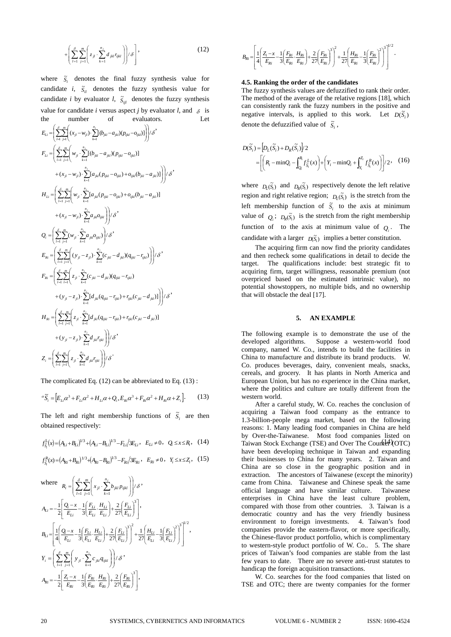$$
+\left(\sum_{l=1}^{\delta}\sum_{j=1}^{m}\left(z_{jl}\cdot\sum_{k=1}^{n_{j}}d_{jkl}r_{ijkl}\right)\right)/\delta\right],
$$
\n(12)

where  $\tilde{s}_i$  denotes the final fuzzy synthesis value for candidate *i*,  $\tilde{S}_{il}$  denotes the fuzzy synthesis value for candidate *i* by evaluator *l*,  $\tilde{S}_{ijl}$  denotes the fuzzy synthesis value for candidate *i* versus aspect *j* by evaluator *l*, and  $\delta$  is the number of evaluators. Let

$$
E_{Li} = \left( \sum_{l=1}^{s} \sum_{j=1}^{m} \left( (x_{jl} - w_{jl}) \cdot \sum_{k=1}^{n_j} [\theta_{jkl} - a_{jkl})(p_{ijkl} - o_{ijkl})] \right) / \delta
$$
\n
$$
F_{Li} = \left( \sum_{l=1}^{s} \sum_{j=1}^{m} \left( w_{jl} \cdot \sum_{k=1}^{n_j} [(\theta_{jkl} - a_{jkl})(p_{ijkl} - o_{ijkl})] + (x_{jl} - w_{jl}) \cdot \sum_{k=1}^{n_j} [a_{jkl}(p_{ijkl} - o_{ijkl}) + o_{ijkl}(b_{jkl} - a_{jkl})] \right) / \delta
$$
\n
$$
H_{Li} = \left( \sum_{l=1}^{s} \sum_{j=1}^{m} \left( w_{jl} \cdot \sum_{k=1}^{n_j} [a_{jkl}(p_{ijkl} - o_{ijkl}) + o_{ijkl}(b_{jkl} - a_{jkl})] + (x_{jl} - w_{jl}) \cdot \sum_{k=1}^{n_j} a_{jkl} o_{ijkl} \right) / \delta
$$
\n
$$
Q_{i} = \left( \sum_{l=1}^{s} \sum_{j=1}^{m} (w_{jl} \cdot \sum_{k=1}^{n_j} a_{jkl} o_{ijkl}) / \delta
$$
\n
$$
E_{Ri} = \left( \sum_{l=1}^{s} \sum_{j=1}^{m} \left( (y_{jl} - z_{jl}) \cdot \sum_{k=1}^{n_j} (c_{jkl} - d_{jkl})(q_{ijkl} - r_{ijkl}) \right) \right) / \delta
$$
\n
$$
F_{Ri} = \left( \sum_{l=1}^{s} \sum_{j=1}^{m} \left( z_{jl} \cdot \sum_{k=1}^{n_j} (c_{jkl} - d_{jkl})(q_{ijkl} - r_{ijkl}) + (y_{jl} - z_{jl}) \cdot \sum_{k=1}^{n_j} [d_{jkl}(q_{ijkl} - r_{ijkl}) + r_{ijkl}(c_{jkl} - d_{jkl})] \right) / \delta
$$
\n
$$
H_{Ri} = \left( \sum_{l=1}^{s} \sum_{j=1}^{m} \left( z_{jl} \cdot \sum_{k=1}^{n_j} [d_{jkl}(q_{ijkl} - r_{ijkl}) + r_{ijkl}(c_{jkl} - d_{jkl})] \right) / \delta
$$
\

The complicated Eq. (12) can be abbreviated to Eq. (13) :

$$
{}^{\alpha}\tilde{S}_{i} = [E_{Li}\alpha^{3} + F_{Li}\alpha^{2} + H_{Li}\alpha + Q_{i}, E_{Ri}\alpha^{3} + F_{Ri}\alpha^{2} + H_{Ri}\alpha + Z_{i}].
$$
 (13)

The left and right membership functions of  $\tilde{S}_i$  are then obtained respectively:

$$
f_{\tilde{S}_i}^{\text{L}}(x) = (A_{Li} + B_{Li})^{1/3} + (A_{Li} - B_{Li})^{1/3} - F_{Li}/3E_{Li}, \quad E_{Li} \neq 0, \quad Q_i \le x \le R_i, \quad (14)
$$

$$
f_{\tilde{S}_i}^R(x) = (A_{Ri} + B_{Ri})^{1/3} + (A_{Ri} - B_{Ri})^{1/3} - F_{Ri}/3E_{Ri}, \quad E_{Ri} \neq 0, \quad Y_i \le x \le Z_i, \quad (15)
$$

where 
$$
R_{i} = \left(\sum_{l=1}^{S} \sum_{j=1}^{m} \left(x_{jl} \cdot \sum_{k=1}^{n_{j}} b_{jkl} p_{ijkl}\right)\right) / \delta
$$
  
\n
$$
A_{Li} = -\frac{1}{2} \left[\frac{Q_{i} - x}{E_{Li}} - \frac{1}{3} \left(\frac{F_{Li}}{E_{Li}} \cdot \frac{H_{Li}}{E_{Li}}\right) + \frac{2}{27} \left(\frac{F_{Li}}{E_{Li}}\right)^{3}\right],
$$
  
\n
$$
B_{Li} = \left[\frac{1}{4} \left(\frac{Q_{i} - x}{E_{Li}} - \frac{1}{3} \left(\frac{F_{Li}}{E_{Li}} \cdot \frac{H_{Li}}{E_{Li}}\right) + \frac{2}{27} \left(\frac{F_{Li}}{E_{Li}}\right)^{3}\right] + \frac{1}{27} \left(\frac{H_{Li}}{E_{Li}} - \frac{1}{3} \left(\frac{F_{Li}}{E_{Li}}\right)^{2}\right)^{3}\right]^{1/2},
$$
  
\n
$$
Y_{i} = \left(\sum_{l=1}^{S} \sum_{j=1}^{m} \left(y_{jl} \cdot \sum_{k=1}^{n_{j}} c_{jkl} q_{jkl}\right) / \delta
$$
  
\n
$$
A_{Ri} = -\frac{1}{2} \left[\frac{Z_{i} - x}{E_{Ri}} - \frac{1}{3} \left(\frac{F_{Ri}}{E_{Ri}} \cdot \frac{H_{Ri}}{E_{Ri}}\right) + \frac{2}{27} \left(\frac{F_{Ri}}{E_{Ri}}\right)^{3}\right],
$$

$$
B_{Ri}\!=\!\!\left[\frac{1}{4}\!\!\left(\!\frac{Z_i\!-\!x}{E_{Ri}}\!-\!\frac{1}{3}\!\!\left(\!\frac{F_{Ri}}{E_{Ri}}\!\cdot\!\frac{H_{Ri}}{E_{Ri}}\!\right)\!\!+\!\frac{2}{27}\!\!\left(\!\frac{F_{Ri}}{E_{Ri}}\!\right)^{\!3}\right)^{\!2}\!\!+\!\frac{1}{27}\!\!\left(\!\frac{H_{Ri}}{E_{Ri}}\!-\!\frac{1}{3}\!\!\left(\!\frac{F_{Ri}}{E_{Ri}}\!\right)^{\!2}\!\right)^{\!3}\!\right]^{1/2}\!.
$$

## **4.5. Ranking the order of the candidates**

The fuzzy synthesis values are defuzzified to rank their order. The method of the average of the relative regions [18], which can consistently rank the fuzzy numbers in the positive and negative intervals, is applied to this work. Let  $D(\tilde{S}_i)$ denote the defuzzified value of  $\tilde{S}_i$ ,

$$
D(\widetilde{S}_i) = \left[ D_L(\widetilde{S}_i) + D_R(\widetilde{S}_i) \right] / 2
$$
  
= 
$$
\left[ \left( R_i - \min Q_i - \int_{Q_i}^{R_i} f_{\widetilde{S}_i}^L(x) \right) + \left( Y_i - \min Q_i + \int_{Y_i}^{Z_i} f_{\widetilde{S}_i}^R(x) \right) \right] / 2, \quad (16)
$$

where  $D_L(\tilde{S}_i)$  and  $D_R(\tilde{S}_i)$  respectively denote the left relative region and right relative region;  $D_L(\tilde{S}_i)$  is the stretch from the left membership function of  $\tilde{S}_i$  to the axis at minimum value of  $Q_i$ ;  $D_R(\tilde{S}_i)$  is the stretch from the right membership function of to the axis at minimum value of  $Q_i$ . The candidate with a larger  $D(\tilde{S}_i)$  implies a better constitution.

The acquiring firm can now find the priority candidates and then recheck some qualifications in detail to decide the target. The qualifications include: best strategic fit to acquiring firm, target willingness, reasonable premium (not overpriced based on the estimated intrinsic value), no potential showstoppers, no multiple bids, and no ownership that will obstacle the deal [17].

## **5. AN EXAMPLE**

The following example is to demonstrate the use of the developed algorithms. Suppose a western-world food company, named W. Co., intends to build the facilities in China to manufacture and distribute its brand products. W. Co. produces beverages, dairy, convenient meals, snacks, cereals, and grocery. It has plants in North America and European Union, but has no experience in the China market, where the politics and culture are totally different from the western world.

 $\frac{dL}{dt}(x) = (A_{Li} + B_{Li})^{1/3} + (A_{Li} - B_{Li})^{1/3} - F_{Li}/3E_{Li}$ ,  $E_{Li} \neq 0$ ,  $Q_i \leq x \leq R_i$ , (14) Taiwan Stock Exchange (TSE) and Over The Counter (OTC) After a careful study, W. Co. reaches the conclusion of acquiring a Taiwan food company as the entrance to 1.3-billion-people mega market, based on the following reasons: 1. Many leading food companies in China are held by Over-the-Taiwanese. Most food companies listed on have been developing technique in Taiwan and expanding their businesses to China for many years. 2. Taiwan and China are so close in the geographic position and in extraction. The ancestors of Taiwanese (except the minority) came from China. Taiwanese and Chinese speak the same official language and have similar culture. Taiwanese enterprises in China have the least culture problem, compared with those from other countries. 3. Taiwan is a democratic country and has the very friendly business environment to foreign investments. 4. Taiwan's food companies provide the eastern-flavor, or more specifically, the Chinese-flavor product portfolio, which is complimentary to western-style product portfolio of W. Co.. 5. The share prices of Taiwan's food companies are stable from the last few years to date. There are no severe anti-trust statutes to handicap the foreign acquisition transactions.

W. Co. searches for the food companies that listed on TSE and OTC; there are twenty companies for the former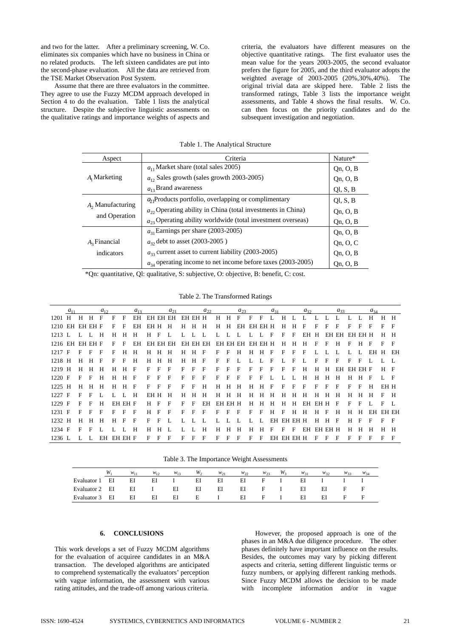and two for the latter. After a preliminary screening, W. Co. eliminates six companies which have no business in China or no related products. The left sixteen candidates are put into the second-phase evaluation. All the data are retrieved from the TSE Market Observation Post System.

Assume that there are three evaluators in the committee. They agree to use the Fuzzy MCDM approach developed in Section 4 to do the evaluation. Table 1 lists the analytical structure. Despite the subjective linguistic assessments on the qualitative ratings and importance weights of aspects and

criteria, the evaluators have different measures on the objective quantitative ratings. The first evaluator uses the mean value for the years 2003-2005, the second evaluator prefers the figure for 2005, and the third evaluator adopts the weighted average of 2003-2005 (20%,30%,40%). The original trivial data are skipped here. Table 2 lists the transformed ratings, Table  $\overline{3}$  lists the importance weight assessments, and Table 4 shows the final results. W. Co. can then focus on the priority candidates and do the subsequent investigation and negotiation.

| Aspect             | Criteria                                                         | Nature*  |
|--------------------|------------------------------------------------------------------|----------|
|                    | $a_{11}$ Market share (total sales 2005)                         | Qn, O, B |
| $A_1$ Marketing    | $a_{12}$ Sales growth (sales growth 2003-2005)                   | Qn, O, B |
|                    | $a_{13}$ Brand awareness                                         | QI, S, B |
|                    | $a1$ Products portfolio, overlapping or complimentary            | OLS, B   |
| $A2$ Manufacturing | $a_{22}$ Operating ability in China (total investments in China) | Qn, O, B |
| and Operation      | $a_{23}$ Operating ability worldwide (total investment overseas) | Qn, O, B |
|                    | $a_{31}$ Earnings per share (2003-2005)                          | Qn, O, B |
| $A_3$ Financial    | $a_{32}$ debt to asset (2003-2005)                               | Qn, O, C |
| indicators         | $a_{33}$ current asset to current liability (2003-2005)          | Qn, O, B |
|                    | $a_{34}$ operating income to net income before taxes (2003-2005) | On, O, B |

Table 1. The Analytical Structure

\*Qn: quantitative, Ql: qualitative, S: subjective, O: objective, B: benefit, C: cost.

Table 2. The Transformed Ratings

|                 | $a_{11}$ |   |       | $a_{12}$     |   |            | $a_{12}$ |      |       | $a_{21}$     |         |         | $a_{22}$     |                |         | $a_{23}$         |                |            | $a_{21}$ |         |            | $a_{32}$ |         |   | $a_{33}$      |         |          | $a_{34}$ |             |              |
|-----------------|----------|---|-------|--------------|---|------------|----------|------|-------|--------------|---------|---------|--------------|----------------|---------|------------------|----------------|------------|----------|---------|------------|----------|---------|---|---------------|---------|----------|----------|-------------|--------------|
| $1201$ H        |          | H | H     | $\mathbf{F}$ | F | $_{\rm F}$ | EH       |      |       | EH EH EH     | EH EH H |         |              | H              | H       | F                | $\mathbf{F}$   | $_{\rm F}$ | Ι.       | H       |            | Τ.       |         |   |               |         |          | H        | $H$ H       |              |
| 1210 EH EH EH F |          |   |       |              | F | F          | EH       |      | EHH H |              | H       | $H$ H   |              | H              | H       | EH EH EH H       |                |            |          | H       | н          | F        | F       | F | F             | F       | F        | F        | $F \quad F$ |              |
| $1213$ L        |          |   |       | H            | H | H          | H        | H    | F     |              |         | $L = L$ |              | $\mathbf{I}$ . | L L     |                  | <b>I</b> .     | L F        |          | F       | $_{\rm F}$ | EH       | Н.      |   | EH EH EH EH H |         |          |          | $H$ H       |              |
| 1216 EH EH EH F |          |   |       |              | F | F          | EH       |      |       | EH EH EH     |         |         | EH EH EH     |                |         | EH EH EH EH EH H |                |            |          | H       | н          | H        | F       | F | н             | F       | н        | F        | $F$ F       |              |
| $1217$ F        |          | F | F     | F            | F | H          | н        | H    | н     | H            | H       | H       | F            | F              | F       | H                | H              | H          | F        | F       | F          | F        |         |   |               |         |          | EH H EH  |             |              |
| 1218 H          |          | н | $H$ F |              | F | $_{\rm F}$ | H        | H    | H     | H            | H       | $H$ F   |              | F              | F       | Ι.               | $\mathbf{I}$ . | L F        |          | L       | F          | Ι.       | F       | F | F             | F       | F        |          | L L         |              |
| 1219 H          |          | н | H     | Н            | н | н          | - F      | F    | F     | F            | F       | F       | $\mathbf{F}$ | F              | F       | F                | F              | F          | F        | F       | F          | H        | H       | н | EH            | EH EH F |          |          | $H$ F       |              |
| $1220$ F        |          | F | F     | H            | н | H          | - F      | F    | F     | F            | F       | F       | $_{\rm F}$   | F              | F       | F                | F              | F          |          |         |            | Н        | н       | н | Н             | H       | H        | F        | L F         |              |
| 1225 H          |          | H | H     | H            | H | H F        |          | E    | F     | $\mathbf{F}$ | F       | F       | H            | H              | H       | H                | Н              | $H$ F      |          | F       | F          | F        | F       | F | F             | F       | F        | H        | EH H        |              |
| $1227$ F        |          | F | F     |              | L |            | H        | EH H |       | H            | H       | H       | H            | н              | H       | H                | н              | H          | H        | н       | H          | H        | H       | H | н             | н       | H        | H        | $F$ H       |              |
| $1229$ F        |          | F | F     | H            |   | EH EH F    |          | H    | F     | F            | F       | F       | ΕH           |                | EH EH H |                  | H              | Н          | H        | H       | H          | EH       | EH H    |   | F             | F       |          |          | $F$ L       |              |
| $1231$ F        |          | F | F     | $_{\rm F}$   | F | F.         | - F      | н    | F     | F            | F       | F       | F            | F              | F       | F                | F              | $_{\rm F}$ | H        | F       | H          | н        | H       | F | н             | H       | <b>H</b> | EH EH EH |             |              |
| 1232 H          |          | н |       | H            | н | F          | F        | F    | F     |              |         |         |              |                |         |                  |                |            | EH       | EH EH H |            |          | H       | H | F             |         |          | F        | $F \tF$     |              |
| 1234 F          |          | F |       |              |   |            | H        | н    | н     |              |         |         | H            | H              | H       | H                | Н              | H          | F        | F       | F          | EН       | EH EH H |   |               | н       |          |          | $H$ H       |              |
| 1236 L          |          |   |       | EH           |   | EH EH F    |          | F    | F     | F            | F       | F       | F            | F              | F       | F                | F              | F          | EH       |         | EH EH H    |          | F       | F | F             | F       | F        | F        | F.          | $\mathbf{F}$ |

Table 3. The Importance Weight Assessments

|                |    | $W_{11}$ | $W_{12}$ | $W_{13}$ | W <sub>2</sub> | $W_{21}$ | $w_{22}$ | $W_{23}$     | $W_2$ | $W_{31}$ | $W_{32}$ | $W_{33}$ | $W_{34}$ |
|----------------|----|----------|----------|----------|----------------|----------|----------|--------------|-------|----------|----------|----------|----------|
| Evaluator 1    | EI | EI       | EI       |          | EI             | ΕI       | EI       | F            |       | EI       |          |          |          |
| Evaluator 2 EI |    | EI       |          | ΕI       | EI             | ΕI       | ΕI       | $\mathbf{F}$ |       | EI       | ΕI       | F        | E        |
| Evaluator 3    | EI | EI       | EI       | EI       | E              |          | ΕI       | $\mathbf{F}$ |       | EI       | ΕI       | F        | F        |

# **6. CONCLUSIONS**

This work develops a set of Fuzzy MCDM algorithms for the evaluation of acquiree candidates in an M&A transaction. The developed algorithms are anticipated to comprehend systematically the evaluators' perception with vague information, the assessment with various rating attitudes, and the trade-off among various criteria.

However, the proposed approach is one of the phases in an M&A due diligence procedure. The other phases definitely have important influence on the results. Besides, the outcomes may vary by picking different aspects and criteria, setting different linguistic terms or fuzzy numbers, or applying different ranking methods. Since Fuzzy MCDM allows the decision to be made with incomplete information and/or in vague